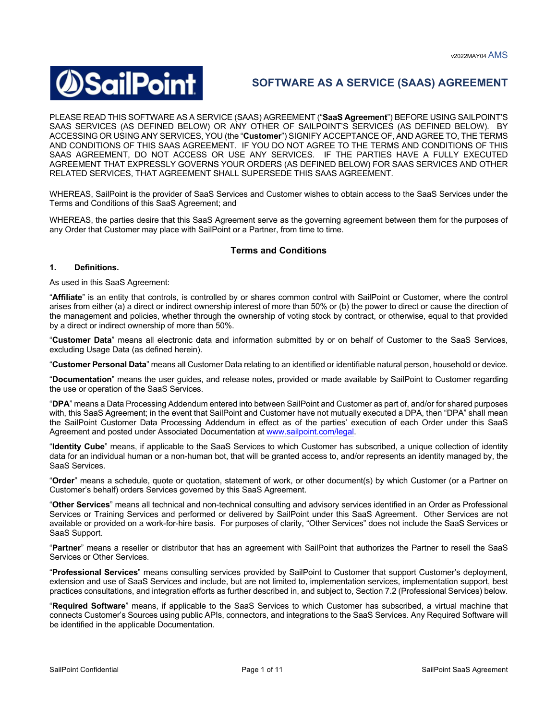

# **SOFTWARE AS A SERVICE (SAAS) AGREEMENT**

PLEASE READ THIS SOFTWARE AS A SERVICE (SAAS) AGREEMENT ("**SaaS Agreement**") BEFORE USING SAILPOINT'S SAAS SERVICES (AS DEFINED BELOW) OR ANY OTHER OF SAILPOINT'S SERVICES (AS DEFINED BELOW). BY ACCESSING OR USING ANY SERVICES, YOU (the "**Customer**") SIGNIFY ACCEPTANCE OF, AND AGREE TO, THE TERMS AND CONDITIONS OF THIS SAAS AGREEMENT. IF YOU DO NOT AGREE TO THE TERMS AND CONDITIONS OF THIS SAAS AGREEMENT, DO NOT ACCESS OR USE ANY SERVICES. IF THE PARTIES HAVE A FULLY EXECUTED AGREEMENT THAT EXPRESSLY GOVERNS YOUR ORDERS (AS DEFINED BELOW) FOR SAAS SERVICES AND OTHER RELATED SERVICES, THAT AGREEMENT SHALL SUPERSEDE THIS SAAS AGREEMENT.

WHEREAS, SailPoint is the provider of SaaS Services and Customer wishes to obtain access to the SaaS Services under the Terms and Conditions of this SaaS Agreement; and

WHEREAS, the parties desire that this SaaS Agreement serve as the governing agreement between them for the purposes of any Order that Customer may place with SailPoint or a Partner, from time to time.

# **Terms and Conditions**

## **1. Definitions.**

As used in this SaaS Agreement:

"**Affiliate**" is an entity that controls, is controlled by or shares common control with SailPoint or Customer, where the control arises from either (a) a direct or indirect ownership interest of more than 50% or (b) the power to direct or cause the direction of the management and policies, whether through the ownership of voting stock by contract, or otherwise, equal to that provided by a direct or indirect ownership of more than 50%.

"**Customer Data**" means all electronic data and information submitted by or on behalf of Customer to the SaaS Services, excluding Usage Data (as defined herein).

"**Customer Personal Data**" means all Customer Data relating to an identified or identifiable natural person, household or device.

"**Documentation**" means the user guides, and release notes, provided or made available by SailPoint to Customer regarding the use or operation of the SaaS Services.

"**DPA**" means a Data Processing Addendum entered into between SailPoint and Customer as part of, and/or for shared purposes with, this SaaS Agreement; in the event that SailPoint and Customer have not mutually executed a DPA, then "DPA" shall mean the SailPoint Customer Data Processing Addendum in effect as of the parties' execution of each Order under this SaaS Agreement and posted under Associated Documentation at www.sailpoint.com/legal.

"**Identity Cube**" means, if applicable to the SaaS Services to which Customer has subscribed, a unique collection of identity data for an individual human or a non-human bot, that will be granted access to, and/or represents an identity managed by, the SaaS Services.

"**Order**" means a schedule, quote or quotation, statement of work, or other document(s) by which Customer (or a Partner on Customer's behalf) orders Services governed by this SaaS Agreement.

"**Other Services**" means all technical and non-technical consulting and advisory services identified in an Order as Professional Services or Training Services and performed or delivered by SailPoint under this SaaS Agreement. Other Services are not available or provided on a work-for-hire basis. For purposes of clarity, "Other Services" does not include the SaaS Services or SaaS Support.

"**Partner**" means a reseller or distributor that has an agreement with SailPoint that authorizes the Partner to resell the SaaS Services or Other Services.

"**Professional Services**" means consulting services provided by SailPoint to Customer that support Customer's deployment, extension and use of SaaS Services and include, but are not limited to, implementation services, implementation support, best practices consultations, and integration efforts as further described in, and subject to, Section 7.2 (Professional Services) below.

"**Required Software**" means, if applicable to the SaaS Services to which Customer has subscribed, a virtual machine that connects Customer's Sources using public APIs, connectors, and integrations to the SaaS Services. Any Required Software will be identified in the applicable Documentation.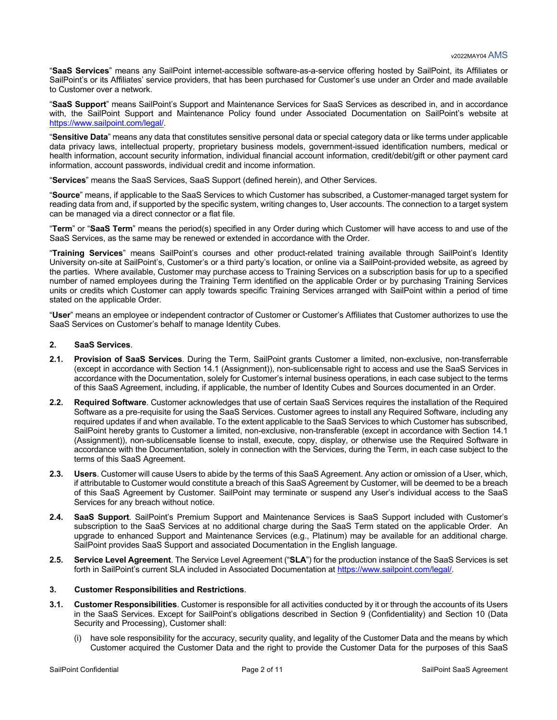"**SaaS Services**" means any SailPoint internet-accessible software-as-a-service offering hosted by SailPoint, its Affiliates or SailPoint's or its Affiliates' service providers, that has been purchased for Customer's use under an Order and made available to Customer over a network.

"**SaaS Support**" means SailPoint's Support and Maintenance Services for SaaS Services as described in, and in accordance with, the SailPoint Support and Maintenance Policy found under Associated Documentation on SailPoint's website at https://www.sailpoint.com/legal/.

"**Sensitive Data**" means any data that constitutes sensitive personal data or special category data or like terms under applicable data privacy laws, intellectual property, proprietary business models, government-issued identification numbers, medical or health information, account security information, individual financial account information, credit/debit/gift or other payment card information, account passwords, individual credit and income information.

"**Services**" means the SaaS Services, SaaS Support (defined herein), and Other Services.

"**Source**" means, if applicable to the SaaS Services to which Customer has subscribed, a Customer-managed target system for reading data from and, if supported by the specific system, writing changes to, User accounts. The connection to a target system can be managed via a direct connector or a flat file.

"**Term**" or "**SaaS Term**" means the period(s) specified in any Order during which Customer will have access to and use of the SaaS Services, as the same may be renewed or extended in accordance with the Order.

"**Training Services**" means SailPoint's courses and other product-related training available through SailPoint's Identity University on-site at SailPoint's, Customer's or a third party's location, or online via a SailPoint-provided website, as agreed by the parties. Where available, Customer may purchase access to Training Services on a subscription basis for up to a specified number of named employees during the Training Term identified on the applicable Order or by purchasing Training Services units or credits which Customer can apply towards specific Training Services arranged with SailPoint within a period of time stated on the applicable Order.

"**User**" means an employee or independent contractor of Customer or Customer's Affiliates that Customer authorizes to use the SaaS Services on Customer's behalf to manage Identity Cubes.

## **2. SaaS Services**.

- **2.1. Provision of SaaS Services**. During the Term, SailPoint grants Customer a limited, non-exclusive, non-transferrable (except in accordance with Section 14.1 (Assignment)), non-sublicensable right to access and use the SaaS Services in accordance with the Documentation, solely for Customer's internal business operations, in each case subject to the terms of this SaaS Agreement, including, if applicable, the number of Identity Cubes and Sources documented in an Order.
- **2.2. Required Software**. Customer acknowledges that use of certain SaaS Services requires the installation of the Required Software as a pre-requisite for using the SaaS Services. Customer agrees to install any Required Software, including any required updates if and when available. To the extent applicable to the SaaS Services to which Customer has subscribed, SailPoint hereby grants to Customer a limited, non-exclusive, non-transferable (except in accordance with Section 14.1 (Assignment)), non-sublicensable license to install, execute, copy, display, or otherwise use the Required Software in accordance with the Documentation, solely in connection with the Services, during the Term, in each case subject to the terms of this SaaS Agreement.
- **2.3. Users**. Customer will cause Users to abide by the terms of this SaaS Agreement. Any action or omission of a User, which, if attributable to Customer would constitute a breach of this SaaS Agreement by Customer, will be deemed to be a breach of this SaaS Agreement by Customer. SailPoint may terminate or suspend any User's individual access to the SaaS Services for any breach without notice.
- **2.4. SaaS Support**. SailPoint's Premium Support and Maintenance Services is SaaS Support included with Customer's subscription to the SaaS Services at no additional charge during the SaaS Term stated on the applicable Order. An upgrade to enhanced Support and Maintenance Services (e.g., Platinum) may be available for an additional charge. SailPoint provides SaaS Support and associated Documentation in the English language.
- **2.5. Service Level Agreement**. The Service Level Agreement ("**SLA**") for the production instance of the SaaS Services is set forth in SailPoint's current SLA included in Associated Documentation at https://www.sailpoint.com/legal/.

#### **3. Customer Responsibilities and Restrictions**.

- **3.1. Customer Responsibilities**. Customer is responsible for all activities conducted by it or through the accounts of its Users in the SaaS Services. Except for SailPoint's obligations described in Section 9 (Confidentiality) and Section 10 (Data Security and Processing), Customer shall:
	- (i) have sole responsibility for the accuracy, security quality, and legality of the Customer Data and the means by which Customer acquired the Customer Data and the right to provide the Customer Data for the purposes of this SaaS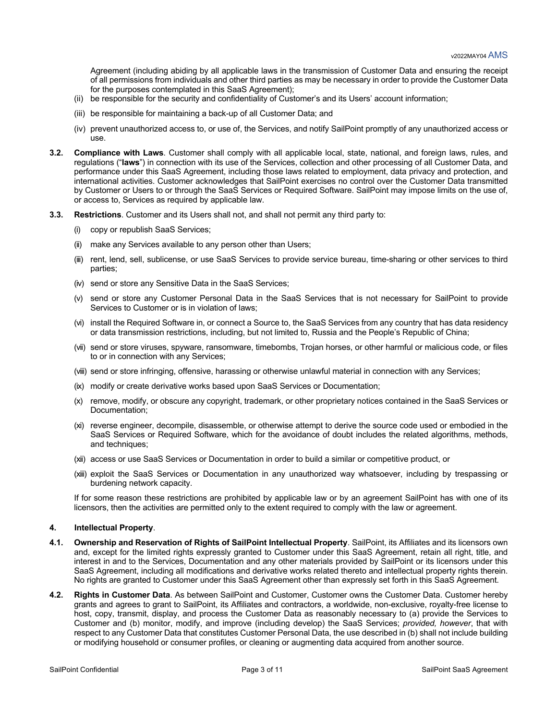Agreement (including abiding by all applicable laws in the transmission of Customer Data and ensuring the receipt of all permissions from individuals and other third parties as may be necessary in order to provide the Customer Data for the purposes contemplated in this SaaS Agreement);

- (ii) be responsible for the security and confidentiality of Customer's and its Users' account information;
- (iii) be responsible for maintaining a back-up of all Customer Data; and
- (iv) prevent unauthorized access to, or use of, the Services, and notify SailPoint promptly of any unauthorized access or use.
- **3.2. Compliance with Laws**. Customer shall comply with all applicable local, state, national, and foreign laws, rules, and regulations ("**laws**") in connection with its use of the Services, collection and other processing of all Customer Data, and performance under this SaaS Agreement, including those laws related to employment, data privacy and protection, and international activities. Customer acknowledges that SailPoint exercises no control over the Customer Data transmitted by Customer or Users to or through the SaaS Services or Required Software. SailPoint may impose limits on the use of, or access to, Services as required by applicable law.
- **3.3. Restrictions**. Customer and its Users shall not, and shall not permit any third party to:
	- (i) copy or republish SaaS Services;
	- (ii) make any Services available to any person other than Users;
	- (iii) rent, lend, sell, sublicense, or use SaaS Services to provide service bureau, time-sharing or other services to third parties;
	- (iv) send or store any Sensitive Data in the SaaS Services;
	- (v) send or store any Customer Personal Data in the SaaS Services that is not necessary for SailPoint to provide Services to Customer or is in violation of laws;
	- (vi) install the Required Software in, or connect a Source to, the SaaS Services from any country that has data residency or data transmission restrictions, including, but not limited to, Russia and the People's Republic of China;
	- (vii) send or store viruses, spyware, ransomware, timebombs, Trojan horses, or other harmful or malicious code, or files to or in connection with any Services;
	- (viii) send or store infringing, offensive, harassing or otherwise unlawful material in connection with any Services;
	- (ix) modify or create derivative works based upon SaaS Services or Documentation;
	- (x) remove, modify, or obscure any copyright, trademark, or other proprietary notices contained in the SaaS Services or Documentation;
	- (xi) reverse engineer, decompile, disassemble, or otherwise attempt to derive the source code used or embodied in the SaaS Services or Required Software, which for the avoidance of doubt includes the related algorithms, methods, and techniques;
	- (xii) access or use SaaS Services or Documentation in order to build a similar or competitive product, or
	- (xiii) exploit the SaaS Services or Documentation in any unauthorized way whatsoever, including by trespassing or burdening network capacity.

If for some reason these restrictions are prohibited by applicable law or by an agreement SailPoint has with one of its licensors, then the activities are permitted only to the extent required to comply with the law or agreement.

## **4. Intellectual Property**.

- **4.1. Ownership and Reservation of Rights of SailPoint Intellectual Property**. SailPoint, its Affiliates and its licensors own and, except for the limited rights expressly granted to Customer under this SaaS Agreement, retain all right, title, and interest in and to the Services, Documentation and any other materials provided by SailPoint or its licensors under this SaaS Agreement, including all modifications and derivative works related thereto and intellectual property rights therein. No rights are granted to Customer under this SaaS Agreement other than expressly set forth in this SaaS Agreement.
- **4.2. Rights in Customer Data**. As between SailPoint and Customer, Customer owns the Customer Data. Customer hereby grants and agrees to grant to SailPoint, its Affiliates and contractors, a worldwide, non-exclusive, royalty-free license to host, copy, transmit, display, and process the Customer Data as reasonably necessary to (a) provide the Services to Customer and (b) monitor, modify, and improve (including develop) the SaaS Services; *provided, however*, that with respect to any Customer Data that constitutes Customer Personal Data, the use described in (b) shall not include building or modifying household or consumer profiles, or cleaning or augmenting data acquired from another source.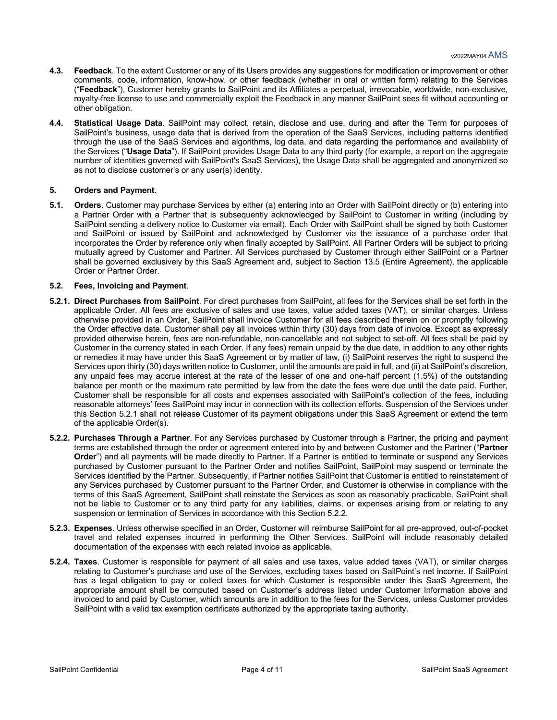- **4.3. Feedback**. To the extent Customer or any of its Users provides any suggestions for modification or improvement or other comments, code, information, know-how, or other feedback (whether in oral or written form) relating to the Services ("**Feedback**"), Customer hereby grants to SailPoint and its Affiliates a perpetual, irrevocable, worldwide, non-exclusive, royalty-free license to use and commercially exploit the Feedback in any manner SailPoint sees fit without accounting or other obligation.
- **4.4. Statistical Usage Data**. SailPoint may collect, retain, disclose and use, during and after the Term for purposes of SailPoint's business, usage data that is derived from the operation of the SaaS Services, including patterns identified through the use of the SaaS Services and algorithms, log data, and data regarding the performance and availability of the Services ("**Usage Data**"). If SailPoint provides Usage Data to any third party (for example, a report on the aggregate number of identities governed with SailPoint's SaaS Services), the Usage Data shall be aggregated and anonymized so as not to disclose customer's or any user(s) identity.

## **5. Orders and Payment**.

**5.1. Orders**. Customer may purchase Services by either (a) entering into an Order with SailPoint directly or (b) entering into a Partner Order with a Partner that is subsequently acknowledged by SailPoint to Customer in writing (including by SailPoint sending a delivery notice to Customer via email). Each Order with SailPoint shall be signed by both Customer and SailPoint or issued by SailPoint and acknowledged by Customer via the issuance of a purchase order that incorporates the Order by reference only when finally accepted by SailPoint. All Partner Orders will be subject to pricing mutually agreed by Customer and Partner. All Services purchased by Customer through either SailPoint or a Partner shall be governed exclusively by this SaaS Agreement and, subject to Section 13.5 (Entire Agreement), the applicable Order or Partner Order.

#### **5.2. Fees, Invoicing and Payment**.

- **5.2.1. Direct Purchases from SailPoint**. For direct purchases from SailPoint, all fees for the Services shall be set forth in the applicable Order. All fees are exclusive of sales and use taxes, value added taxes (VAT), or similar charges. Unless otherwise provided in an Order, SailPoint shall invoice Customer for all fees described therein on or promptly following the Order effective date. Customer shall pay all invoices within thirty (30) days from date of invoice. Except as expressly provided otherwise herein, fees are non-refundable, non-cancellable and not subject to set-off. All fees shall be paid by Customer in the currency stated in each Order. If any fees) remain unpaid by the due date, in addition to any other rights or remedies it may have under this SaaS Agreement or by matter of law, (i) SailPoint reserves the right to suspend the Services upon thirty (30) days written notice to Customer, until the amounts are paid in full, and (ii) at SailPoint's discretion, any unpaid fees may accrue interest at the rate of the lesser of one and one-half percent (1.5%) of the outstanding balance per month or the maximum rate permitted by law from the date the fees were due until the date paid. Further, Customer shall be responsible for all costs and expenses associated with SailPoint's collection of the fees, including reasonable attorneys' fees SailPoint may incur in connection with its collection efforts. Suspension of the Services under this Section 5.2.1 shall not release Customer of its payment obligations under this SaaS Agreement or extend the term of the applicable Order(s).
- **5.2.2. Purchases Through a Partner**. For any Services purchased by Customer through a Partner, the pricing and payment terms are established through the order or agreement entered into by and between Customer and the Partner ("**Partner**  Order") and all payments will be made directly to Partner. If a Partner is entitled to terminate or suspend any Services purchased by Customer pursuant to the Partner Order and notifies SailPoint, SailPoint may suspend or terminate the Services identified by the Partner. Subsequently, if Partner notifies SailPoint that Customer is entitled to reinstatement of any Services purchased by Customer pursuant to the Partner Order, and Customer is otherwise in compliance with the terms of this SaaS Agreement, SailPoint shall reinstate the Services as soon as reasonably practicable. SailPoint shall not be liable to Customer or to any third party for any liabilities, claims, or expenses arising from or relating to any suspension or termination of Services in accordance with this Section 5.2.2.
- **5.2.3. Expenses**. Unless otherwise specified in an Order, Customer will reimburse SailPoint for all pre-approved, out-of-pocket travel and related expenses incurred in performing the Other Services. SailPoint will include reasonably detailed documentation of the expenses with each related invoice as applicable.
- **5.2.4. Taxes**. Customer is responsible for payment of all sales and use taxes, value added taxes (VAT), or similar charges relating to Customer's purchase and use of the Services, excluding taxes based on SailPoint's net income. If SailPoint has a legal obligation to pay or collect taxes for which Customer is responsible under this SaaS Agreement, the appropriate amount shall be computed based on Customer's address listed under Customer Information above and invoiced to and paid by Customer, which amounts are in addition to the fees for the Services, unless Customer provides SailPoint with a valid tax exemption certificate authorized by the appropriate taxing authority.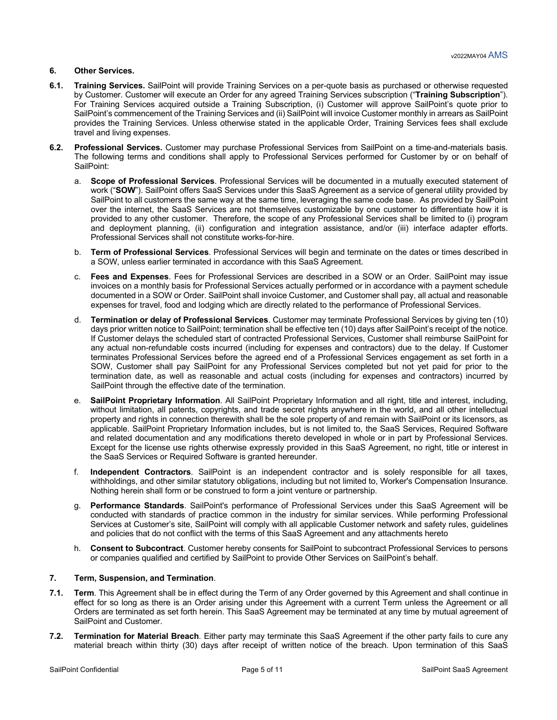## **6. Other Services.**

- **6.1. Training Services.** SailPoint will provide Training Services on a per-quote basis as purchased or otherwise requested by Customer. Customer will execute an Order for any agreed Training Services subscription ("**Training Subscription**"). For Training Services acquired outside a Training Subscription, (i) Customer will approve SailPoint's quote prior to SailPoint's commencement of the Training Services and (ii) SailPoint will invoice Customer monthly in arrears as SailPoint provides the Training Services. Unless otherwise stated in the applicable Order, Training Services fees shall exclude travel and living expenses.
- **6.2. Professional Services.** Customer may purchase Professional Services from SailPoint on a time-and-materials basis. The following terms and conditions shall apply to Professional Services performed for Customer by or on behalf of SailPoint:
	- a. **Scope of Professional Services**. Professional Services will be documented in a mutually executed statement of work ("**SOW**"). SailPoint offers SaaS Services under this SaaS Agreement as a service of general utility provided by SailPoint to all customers the same way at the same time, leveraging the same code base. As provided by SailPoint over the internet, the SaaS Services are not themselves customizable by one customer to differentiate how it is provided to any other customer. Therefore, the scope of any Professional Services shall be limited to (i) program and deployment planning, (ii) configuration and integration assistance, and/or (iii) interface adapter efforts. Professional Services shall not constitute works-for-hire.
	- b. **Term of Professional Services**. Professional Services will begin and terminate on the dates or times described in a SOW, unless earlier terminated in accordance with this SaaS Agreement.
	- c. **Fees and Expenses**. Fees for Professional Services are described in a SOW or an Order. SailPoint may issue invoices on a monthly basis for Professional Services actually performed or in accordance with a payment schedule documented in a SOW or Order. SailPoint shall invoice Customer, and Customer shall pay, all actual and reasonable expenses for travel, food and lodging which are directly related to the performance of Professional Services.
	- d. **Termination or delay of Professional Services**. Customer may terminate Professional Services by giving ten (10) days prior written notice to SailPoint; termination shall be effective ten (10) days after SailPoint's receipt of the notice. If Customer delays the scheduled start of contracted Professional Services, Customer shall reimburse SailPoint for any actual non-refundable costs incurred (including for expenses and contractors) due to the delay. If Customer terminates Professional Services before the agreed end of a Professional Services engagement as set forth in a SOW, Customer shall pay SailPoint for any Professional Services completed but not yet paid for prior to the termination date, as well as reasonable and actual costs (including for expenses and contractors) incurred by SailPoint through the effective date of the termination.
	- e. **SailPoint Proprietary Information**. All SailPoint Proprietary Information and all right, title and interest, including, without limitation, all patents, copyrights, and trade secret rights anywhere in the world, and all other intellectual property and rights in connection therewith shall be the sole property of and remain with SailPoint or its licensors, as applicable. SailPoint Proprietary Information includes, but is not limited to, the SaaS Services, Required Software and related documentation and any modifications thereto developed in whole or in part by Professional Services. Except for the license use rights otherwise expressly provided in this SaaS Agreement, no right, title or interest in the SaaS Services or Required Software is granted hereunder.
	- f. **Independent Contractors**. SailPoint is an independent contractor and is solely responsible for all taxes, withholdings, and other similar statutory obligations, including but not limited to, Worker's Compensation Insurance. Nothing herein shall form or be construed to form a joint venture or partnership.
	- g. **Performance Standards**. SailPoint's performance of Professional Services under this SaaS Agreement will be conducted with standards of practice common in the industry for similar services. While performing Professional Services at Customer's site, SailPoint will comply with all applicable Customer network and safety rules, guidelines and policies that do not conflict with the terms of this SaaS Agreement and any attachments hereto
	- h. **Consent to Subcontract**. Customer hereby consents for SailPoint to subcontract Professional Services to persons or companies qualified and certified by SailPoint to provide Other Services on SailPoint's behalf.

## **7. Term, Suspension, and Termination**.

- **7.1. Term**. This Agreement shall be in effect during the Term of any Order governed by this Agreement and shall continue in effect for so long as there is an Order arising under this Agreement with a current Term unless the Agreement or all Orders are terminated as set forth herein. This SaaS Agreement may be terminated at any time by mutual agreement of SailPoint and Customer.
- **7.2. Termination for Material Breach**. Either party may terminate this SaaS Agreement if the other party fails to cure any material breach within thirty (30) days after receipt of written notice of the breach. Upon termination of this SaaS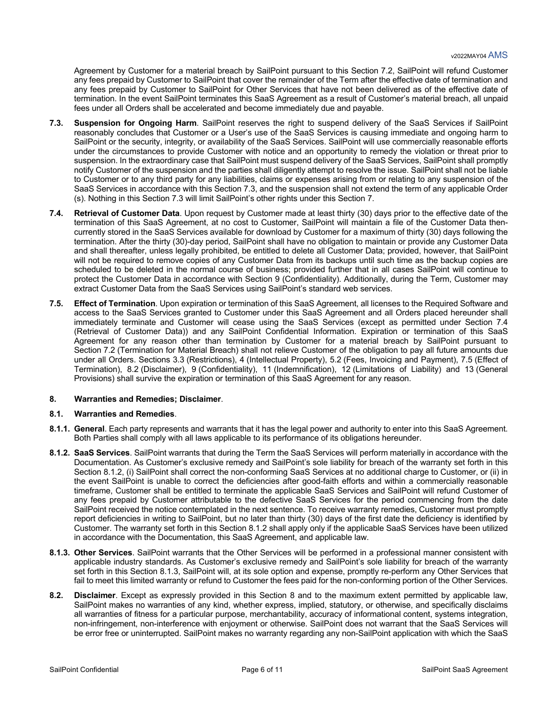Agreement by Customer for a material breach by SailPoint pursuant to this Section 7.2, SailPoint will refund Customer any fees prepaid by Customer to SailPoint that cover the remainder of the Term after the effective date of termination and any fees prepaid by Customer to SailPoint for Other Services that have not been delivered as of the effective date of termination. In the event SailPoint terminates this SaaS Agreement as a result of Customer's material breach, all unpaid fees under all Orders shall be accelerated and become immediately due and payable.

- **7.3. Suspension for Ongoing Harm**. SailPoint reserves the right to suspend delivery of the SaaS Services if SailPoint reasonably concludes that Customer or a User's use of the SaaS Services is causing immediate and ongoing harm to SailPoint or the security, integrity, or availability of the SaaS Services. SailPoint will use commercially reasonable efforts under the circumstances to provide Customer with notice and an opportunity to remedy the violation or threat prior to suspension. In the extraordinary case that SailPoint must suspend delivery of the SaaS Services, SailPoint shall promptly notify Customer of the suspension and the parties shall diligently attempt to resolve the issue. SailPoint shall not be liable to Customer or to any third party for any liabilities, claims or expenses arising from or relating to any suspension of the SaaS Services in accordance with this Section 7.3, and the suspension shall not extend the term of any applicable Order (s). Nothing in this Section 7.3 will limit SailPoint's other rights under this Section 7.
- **7.4. Retrieval of Customer Data**. Upon request by Customer made at least thirty (30) days prior to the effective date of the termination of this SaaS Agreement, at no cost to Customer, SailPoint will maintain a file of the Customer Data thencurrently stored in the SaaS Services available for download by Customer for a maximum of thirty (30) days following the termination. After the thirty (30)-day period, SailPoint shall have no obligation to maintain or provide any Customer Data and shall thereafter, unless legally prohibited, be entitled to delete all Customer Data; provided, however, that SailPoint will not be required to remove copies of any Customer Data from its backups until such time as the backup copies are scheduled to be deleted in the normal course of business; provided further that in all cases SailPoint will continue to protect the Customer Data in accordance with Section 9 (Confidentiality). Additionally, during the Term, Customer may extract Customer Data from the SaaS Services using SailPoint's standard web services.
- **7.5. Effect of Termination**. Upon expiration or termination of this SaaS Agreement, all licenses to the Required Software and access to the SaaS Services granted to Customer under this SaaS Agreement and all Orders placed hereunder shall immediately terminate and Customer will cease using the SaaS Services (except as permitted under Section 7.4 (Retrieval of Customer Data)) and any SailPoint Confidential Information. Expiration or termination of this SaaS Agreement for any reason other than termination by Customer for a material breach by SailPoint pursuant to Section 7.2 (Termination for Material Breach) shall not relieve Customer of the obligation to pay all future amounts due under all Orders. Sections 3.3 (Restrictions), 4 (Intellectual Property), 5.2 (Fees, Invoicing and Payment), 7.5 (Effect of Termination), 8.2 (Disclaimer), 9 (Confidentiality), 11 (Indemnification), 12 (Limitations of Liability) and 13 (General Provisions) shall survive the expiration or termination of this SaaS Agreement for any reason.

## **8. Warranties and Remedies; Disclaimer**.

#### **8.1. Warranties and Remedies**.

- **8.1.1. General**. Each party represents and warrants that it has the legal power and authority to enter into this SaaS Agreement. Both Parties shall comply with all laws applicable to its performance of its obligations hereunder.
- **8.1.2. SaaS Services**. SailPoint warrants that during the Term the SaaS Services will perform materially in accordance with the Documentation. As Customer's exclusive remedy and SailPoint's sole liability for breach of the warranty set forth in this Section 8.1.2, (i) SailPoint shall correct the non-conforming SaaS Services at no additional charge to Customer, or (ii) in the event SailPoint is unable to correct the deficiencies after good-faith efforts and within a commercially reasonable timeframe, Customer shall be entitled to terminate the applicable SaaS Services and SailPoint will refund Customer of any fees prepaid by Customer attributable to the defective SaaS Services for the period commencing from the date SailPoint received the notice contemplated in the next sentence. To receive warranty remedies, Customer must promptly report deficiencies in writing to SailPoint, but no later than thirty (30) days of the first date the deficiency is identified by Customer. The warranty set forth in this Section 8.1.2 shall apply only if the applicable SaaS Services have been utilized in accordance with the Documentation, this SaaS Agreement, and applicable law.
- **8.1.3. Other Services**. SailPoint warrants that the Other Services will be performed in a professional manner consistent with applicable industry standards. As Customer's exclusive remedy and SailPoint's sole liability for breach of the warranty set forth in this Section 8.1.3, SailPoint will, at its sole option and expense, promptly re-perform any Other Services that fail to meet this limited warranty or refund to Customer the fees paid for the non-conforming portion of the Other Services.
- **8.2. Disclaimer**. Except as expressly provided in this Section 8 and to the maximum extent permitted by applicable law, SailPoint makes no warranties of any kind, whether express, implied, statutory, or otherwise, and specifically disclaims all warranties of fitness for a particular purpose, merchantability, accuracy of informational content, systems integration, non-infringement, non-interference with enjoyment or otherwise. SailPoint does not warrant that the SaaS Services will be error free or uninterrupted. SailPoint makes no warranty regarding any non-SailPoint application with which the SaaS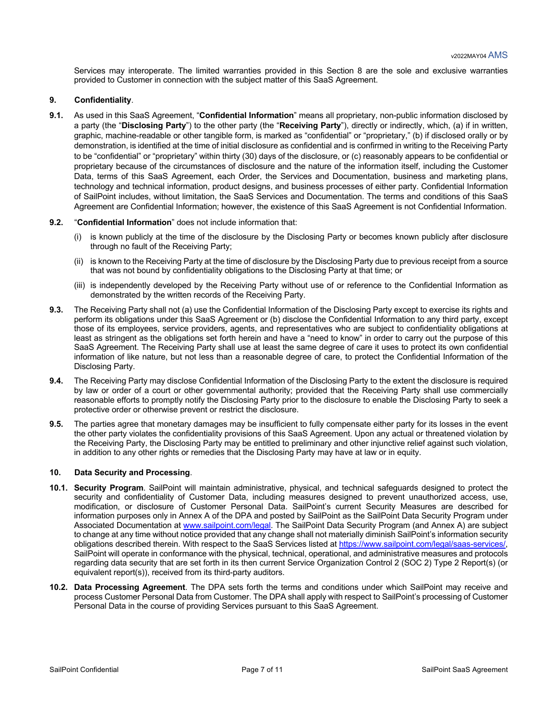Services may interoperate. The limited warranties provided in this Section 8 are the sole and exclusive warranties provided to Customer in connection with the subject matter of this SaaS Agreement.

## **9. Confidentiality**.

**9.1.** As used in this SaaS Agreement, "**Confidential Information**" means all proprietary, non-public information disclosed by a party (the "**Disclosing Party**") to the other party (the "**Receiving Party**"), directly or indirectly, which, (a) if in written, graphic, machine-readable or other tangible form, is marked as "confidential" or "proprietary," (b) if disclosed orally or by demonstration, is identified at the time of initial disclosure as confidential and is confirmed in writing to the Receiving Party to be "confidential" or "proprietary" within thirty (30) days of the disclosure, or (c) reasonably appears to be confidential or proprietary because of the circumstances of disclosure and the nature of the information itself, including the Customer Data, terms of this SaaS Agreement, each Order, the Services and Documentation, business and marketing plans, technology and technical information, product designs, and business processes of either party. Confidential Information of SailPoint includes, without limitation, the SaaS Services and Documentation. The terms and conditions of this SaaS Agreement are Confidential Information; however, the existence of this SaaS Agreement is not Confidential Information.

#### **9.2.** "**Confidential Information**" does not include information that:

- (i) is known publicly at the time of the disclosure by the Disclosing Party or becomes known publicly after disclosure through no fault of the Receiving Party;
- (ii) is known to the Receiving Party at the time of disclosure by the Disclosing Party due to previous receipt from a source that was not bound by confidentiality obligations to the Disclosing Party at that time; or
- (iii) is independently developed by the Receiving Party without use of or reference to the Confidential Information as demonstrated by the written records of the Receiving Party.
- **9.3.** The Receiving Party shall not (a) use the Confidential Information of the Disclosing Party except to exercise its rights and perform its obligations under this SaaS Agreement or (b) disclose the Confidential Information to any third party, except those of its employees, service providers, agents, and representatives who are subject to confidentiality obligations at least as stringent as the obligations set forth herein and have a "need to know" in order to carry out the purpose of this SaaS Agreement. The Receiving Party shall use at least the same degree of care it uses to protect its own confidential information of like nature, but not less than a reasonable degree of care, to protect the Confidential Information of the Disclosing Party.
- **9.4.** The Receiving Party may disclose Confidential Information of the Disclosing Party to the extent the disclosure is required by law or order of a court or other governmental authority; provided that the Receiving Party shall use commercially reasonable efforts to promptly notify the Disclosing Party prior to the disclosure to enable the Disclosing Party to seek a protective order or otherwise prevent or restrict the disclosure.
- **9.5.** The parties agree that monetary damages may be insufficient to fully compensate either party for its losses in the event the other party violates the confidentiality provisions of this SaaS Agreement. Upon any actual or threatened violation by the Receiving Party, the Disclosing Party may be entitled to preliminary and other injunctive relief against such violation, in addition to any other rights or remedies that the Disclosing Party may have at law or in equity.

## **10. Data Security and Processing**.

- **10.1. Security Program**. SailPoint will maintain administrative, physical, and technical safeguards designed to protect the security and confidentiality of Customer Data, including measures designed to prevent unauthorized access, use, modification, or disclosure of Customer Personal Data. SailPoint's current Security Measures are described for information purposes only in Annex A of the DPA and posted by SailPoint as the SailPoint Data Security Program under Associated Documentation at www.sailpoint.com/legal. The SailPoint Data Security Program (and Annex A) are subject to change at any time without notice provided that any change shall not materially diminish SailPoint's information security obligations described therein. With respect to the SaaS Services listed at https://www.sailpoint.com/legal/saas-services/, SailPoint will operate in conformance with the physical, technical, operational, and administrative measures and protocols regarding data security that are set forth in its then current Service Organization Control 2 (SOC 2) Type 2 Report(s) (or equivalent report(s)), received from its third-party auditors.
- **10.2. Data Processing Agreement**. The DPA sets forth the terms and conditions under which SailPoint may receive and process Customer Personal Data from Customer. The DPA shall apply with respect to SailPoint's processing of Customer Personal Data in the course of providing Services pursuant to this SaaS Agreement.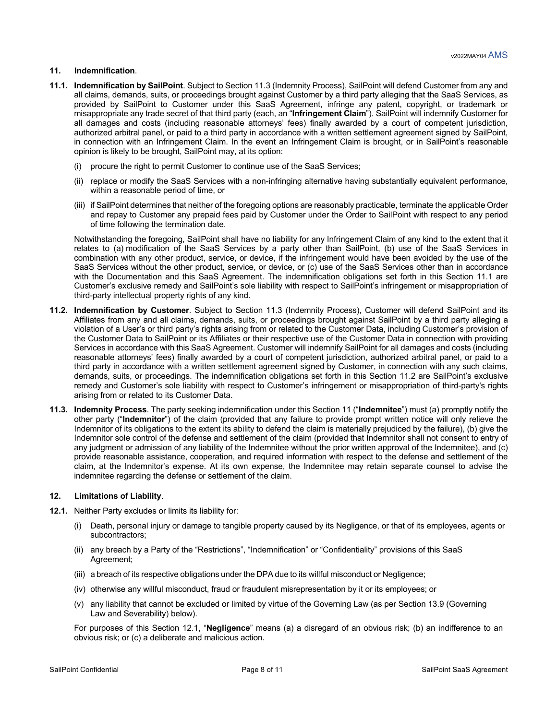## **11. Indemnification**.

- **11.1. Indemnification by SailPoint**. Subject to Section 11.3 (Indemnity Process), SailPoint will defend Customer from any and all claims, demands, suits, or proceedings brought against Customer by a third party alleging that the SaaS Services, as provided by SailPoint to Customer under this SaaS Agreement, infringe any patent, copyright, or trademark or misappropriate any trade secret of that third party (each, an "**Infringement Claim**"). SailPoint will indemnify Customer for all damages and costs (including reasonable attorneys' fees) finally awarded by a court of competent jurisdiction, authorized arbitral panel, or paid to a third party in accordance with a written settlement agreement signed by SailPoint, in connection with an Infringement Claim. In the event an Infringement Claim is brought, or in SailPoint's reasonable opinion is likely to be brought, SailPoint may, at its option:
	- (i) procure the right to permit Customer to continue use of the SaaS Services;
	- (ii) replace or modify the SaaS Services with a non-infringing alternative having substantially equivalent performance, within a reasonable period of time, or
	- (iii) if SailPoint determines that neither of the foregoing options are reasonably practicable, terminate the applicable Order and repay to Customer any prepaid fees paid by Customer under the Order to SailPoint with respect to any period of time following the termination date.

Notwithstanding the foregoing, SailPoint shall have no liability for any Infringement Claim of any kind to the extent that it relates to (a) modification of the SaaS Services by a party other than SailPoint, (b) use of the SaaS Services in combination with any other product, service, or device, if the infringement would have been avoided by the use of the SaaS Services without the other product, service, or device, or (c) use of the SaaS Services other than in accordance with the Documentation and this SaaS Agreement. The indemnification obligations set forth in this Section 11.1 are Customer's exclusive remedy and SailPoint's sole liability with respect to SailPoint's infringement or misappropriation of third-party intellectual property rights of any kind.

- **11.2. Indemnification by Customer**. Subject to Section 11.3 (Indemnity Process), Customer will defend SailPoint and its Affiliates from any and all claims, demands, suits, or proceedings brought against SailPoint by a third party alleging a violation of a User's or third party's rights arising from or related to the Customer Data, including Customer's provision of the Customer Data to SailPoint or its Affiliates or their respective use of the Customer Data in connection with providing Services in accordance with this SaaS Agreement. Customer will indemnify SailPoint for all damages and costs (including reasonable attorneys' fees) finally awarded by a court of competent jurisdiction, authorized arbitral panel, or paid to a third party in accordance with a written settlement agreement signed by Customer, in connection with any such claims, demands, suits, or proceedings. The indemnification obligations set forth in this Section 11.2 are SailPoint's exclusive remedy and Customer's sole liability with respect to Customer's infringement or misappropriation of third-party's rights arising from or related to its Customer Data.
- **11.3. Indemnity Process**. The party seeking indemnification under this Section 11 ("**Indemnitee**") must (a) promptly notify the other party ("**Indemnitor**") of the claim (provided that any failure to provide prompt written notice will only relieve the Indemnitor of its obligations to the extent its ability to defend the claim is materially prejudiced by the failure), (b) give the Indemnitor sole control of the defense and settlement of the claim (provided that Indemnitor shall not consent to entry of any judgment or admission of any liability of the Indemnitee without the prior written approval of the Indemnitee), and (c) provide reasonable assistance, cooperation, and required information with respect to the defense and settlement of the claim, at the Indemnitor's expense. At its own expense, the Indemnitee may retain separate counsel to advise the indemnitee regarding the defense or settlement of the claim.

#### **12. Limitations of Liability**.

- **12.1.** Neither Party excludes or limits its liability for:
	- (i) Death, personal injury or damage to tangible property caused by its Negligence, or that of its employees, agents or subcontractors;
	- (ii) any breach by a Party of the "Restrictions", "Indemnification" or "Confidentiality" provisions of this SaaS Agreement;
	- (iii) a breach of its respective obligations under the DPA due to its willful misconduct or Negligence;
	- (iv) otherwise any willful misconduct, fraud or fraudulent misrepresentation by it or its employees; or
	- (v) any liability that cannot be excluded or limited by virtue of the Governing Law (as per Section 13.9 (Governing Law and Severability) below).

For purposes of this Section 12.1, "**Negligence**" means (a) a disregard of an obvious risk; (b) an indifference to an obvious risk; or (c) a deliberate and malicious action.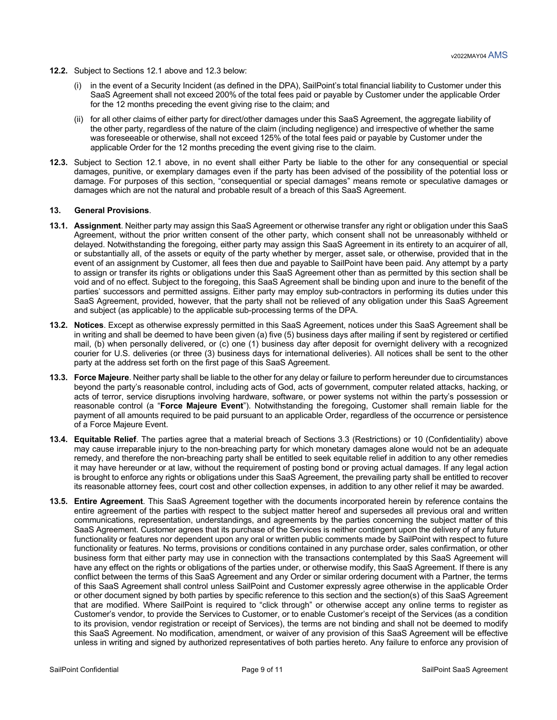- **12.2.** Subject to Sections 12.1 above and 12.3 below:
	- in the event of a Security Incident (as defined in the DPA), SailPoint's total financial liability to Customer under this SaaS Agreement shall not exceed 200% of the total fees paid or payable by Customer under the applicable Order for the 12 months preceding the event giving rise to the claim; and
	- (ii) for all other claims of either party for direct/other damages under this SaaS Agreement, the aggregate liability of the other party, regardless of the nature of the claim (including negligence) and irrespective of whether the same was foreseeable or otherwise, shall not exceed 125% of the total fees paid or payable by Customer under the applicable Order for the 12 months preceding the event giving rise to the claim.
- **12.3.** Subject to Section 12.1 above, in no event shall either Party be liable to the other for any consequential or special damages, punitive, or exemplary damages even if the party has been advised of the possibility of the potential loss or damage. For purposes of this section, "consequential or special damages" means remote or speculative damages or damages which are not the natural and probable result of a breach of this SaaS Agreement.

#### **13. General Provisions**.

- **13.1. Assignment**. Neither party may assign this SaaS Agreement or otherwise transfer any right or obligation under this SaaS Agreement, without the prior written consent of the other party, which consent shall not be unreasonably withheld or delayed. Notwithstanding the foregoing, either party may assign this SaaS Agreement in its entirety to an acquirer of all, or substantially all, of the assets or equity of the party whether by merger, asset sale, or otherwise, provided that in the event of an assignment by Customer, all fees then due and payable to SailPoint have been paid. Any attempt by a party to assign or transfer its rights or obligations under this SaaS Agreement other than as permitted by this section shall be void and of no effect. Subject to the foregoing, this SaaS Agreement shall be binding upon and inure to the benefit of the parties' successors and permitted assigns. Either party may employ sub-contractors in performing its duties under this SaaS Agreement, provided, however, that the party shall not be relieved of any obligation under this SaaS Agreement and subject (as applicable) to the applicable sub-processing terms of the DPA.
- **13.2. Notices**. Except as otherwise expressly permitted in this SaaS Agreement, notices under this SaaS Agreement shall be in writing and shall be deemed to have been given (a) five (5) business days after mailing if sent by registered or certified mail, (b) when personally delivered, or (c) one (1) business day after deposit for overnight delivery with a recognized courier for U.S. deliveries (or three (3) business days for international deliveries). All notices shall be sent to the other party at the address set forth on the first page of this SaaS Agreement.
- **13.3. Force Majeure**. Neither party shall be liable to the other for any delay or failure to perform hereunder due to circumstances beyond the party's reasonable control, including acts of God, acts of government, computer related attacks, hacking, or acts of terror, service disruptions involving hardware, software, or power systems not within the party's possession or reasonable control (a "**Force Majeure Event**"). Notwithstanding the foregoing, Customer shall remain liable for the payment of all amounts required to be paid pursuant to an applicable Order, regardless of the occurrence or persistence of a Force Majeure Event.
- **13.4. Equitable Relief**. The parties agree that a material breach of Sections 3.3 (Restrictions) or 10 (Confidentiality) above may cause irreparable injury to the non-breaching party for which monetary damages alone would not be an adequate remedy, and therefore the non-breaching party shall be entitled to seek equitable relief in addition to any other remedies it may have hereunder or at law, without the requirement of posting bond or proving actual damages. If any legal action is brought to enforce any rights or obligations under this SaaS Agreement, the prevailing party shall be entitled to recover its reasonable attorney fees, court cost and other collection expenses, in addition to any other relief it may be awarded.
- **13.5. Entire Agreement**. This SaaS Agreement together with the documents incorporated herein by reference contains the entire agreement of the parties with respect to the subject matter hereof and supersedes all previous oral and written communications, representation, understandings, and agreements by the parties concerning the subject matter of this SaaS Agreement. Customer agrees that its purchase of the Services is neither contingent upon the delivery of any future functionality or features nor dependent upon any oral or written public comments made by SailPoint with respect to future functionality or features. No terms, provisions or conditions contained in any purchase order, sales confirmation, or other business form that either party may use in connection with the transactions contemplated by this SaaS Agreement will have any effect on the rights or obligations of the parties under, or otherwise modify, this SaaS Agreement. If there is any conflict between the terms of this SaaS Agreement and any Order or similar ordering document with a Partner, the terms of this SaaS Agreement shall control unless SailPoint and Customer expressly agree otherwise in the applicable Order or other document signed by both parties by specific reference to this section and the section(s) of this SaaS Agreement that are modified. Where SailPoint is required to "click through" or otherwise accept any online terms to register as Customer's vendor, to provide the Services to Customer, or to enable Customer's receipt of the Services (as a condition to its provision, vendor registration or receipt of Services), the terms are not binding and shall not be deemed to modify this SaaS Agreement. No modification, amendment, or waiver of any provision of this SaaS Agreement will be effective unless in writing and signed by authorized representatives of both parties hereto. Any failure to enforce any provision of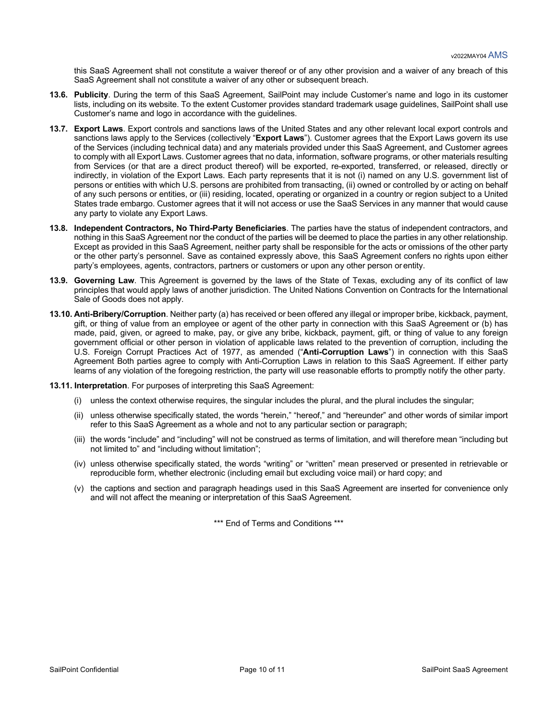this SaaS Agreement shall not constitute a waiver thereof or of any other provision and a waiver of any breach of this SaaS Agreement shall not constitute a waiver of any other or subsequent breach.

- **13.6. Publicity**. During the term of this SaaS Agreement, SailPoint may include Customer's name and logo in its customer lists, including on its website. To the extent Customer provides standard trademark usage guidelines, SailPoint shall use Customer's name and logo in accordance with the guidelines.
- **13.7. Export Laws**. Export controls and sanctions laws of the United States and any other relevant local export controls and sanctions laws apply to the Services (collectively "**Export Laws**"). Customer agrees that the Export Laws govern its use of the Services (including technical data) and any materials provided under this SaaS Agreement, and Customer agrees to comply with all Export Laws. Customer agrees that no data, information, software programs, or other materials resulting from Services (or that are a direct product thereof) will be exported, re-exported, transferred, or released, directly or indirectly, in violation of the Export Laws. Each party represents that it is not (i) named on any U.S. government list of persons or entities with which U.S. persons are prohibited from transacting, (ii) owned or controlled by or acting on behalf of any such persons or entities, or (iii) residing, located, operating or organized in a country or region subject to a United States trade embargo. Customer agrees that it will not access or use the SaaS Services in any manner that would cause any party to violate any Export Laws.
- **13.8. Independent Contractors, No Third-Party Beneficiaries**. The parties have the status of independent contractors, and nothing in this SaaS Agreement nor the conduct of the parties will be deemed to place the parties in any other relationship. Except as provided in this SaaS Agreement, neither party shall be responsible for the acts or omissions of the other party or the other party's personnel. Save as contained expressly above, this SaaS Agreement confers no rights upon either party's employees, agents, contractors, partners or customers or upon any other person or entity.
- **13.9. Governing Law**. This Agreement is governed by the laws of the State of Texas, excluding any of its conflict of law principles that would apply laws of another jurisdiction. The United Nations Convention on Contracts for the International Sale of Goods does not apply.
- **13.10. Anti-Bribery/Corruption**. Neither party (a) has received or been offered any illegal or improper bribe, kickback, payment, gift, or thing of value from an employee or agent of the other party in connection with this SaaS Agreement or (b) has made, paid, given, or agreed to make, pay, or give any bribe, kickback, payment, gift, or thing of value to any foreign government official or other person in violation of applicable laws related to the prevention of corruption, including the U.S. Foreign Corrupt Practices Act of 1977, as amended ("**Anti-Corruption Laws**") in connection with this SaaS Agreement Both parties agree to comply with Anti-Corruption Laws in relation to this SaaS Agreement. If either party learns of any violation of the foregoing restriction, the party will use reasonable efforts to promptly notify the other party.
- **13.11. Interpretation**. For purposes of interpreting this SaaS Agreement:
	- (i) unless the context otherwise requires, the singular includes the plural, and the plural includes the singular;
	- (ii) unless otherwise specifically stated, the words "herein," "hereof," and "hereunder" and other words of similar import refer to this SaaS Agreement as a whole and not to any particular section or paragraph;
	- (iii) the words "include" and "including" will not be construed as terms of limitation, and will therefore mean "including but not limited to" and "including without limitation";
	- (iv) unless otherwise specifically stated, the words "writing" or "written" mean preserved or presented in retrievable or reproducible form, whether electronic (including email but excluding voice mail) or hard copy; and
	- (v) the captions and section and paragraph headings used in this SaaS Agreement are inserted for convenience only and will not affect the meaning or interpretation of this SaaS Agreement.

\*\*\* End of Terms and Conditions \*\*\*